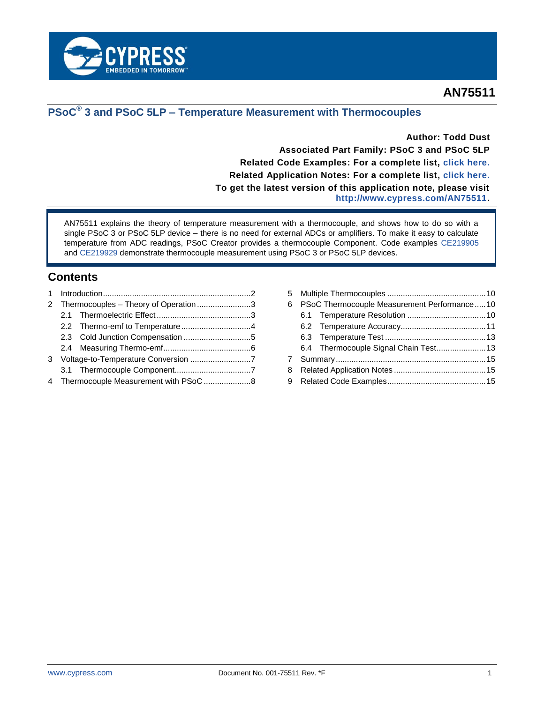

# **AN75511**

# **PSoC® 3 and PSoC 5LP – Temperature Measurement with Thermocouples**

**Author: Todd Dust Associated Part Family: PSoC 3 and PSoC 5LP Related Code Examples: For a complete list, [click here.](#page-14-0) Related Application Notes: For a complete list, [click here.](#page-14-1) To get the latest version of this application note, please visit [http://www.cypress.com/AN75511.](http://www.cypress.com/AN75511)**

AN75511 explains the theory of temperature measurement with a thermocouple, and shows how to do so with a single PSoC 3 or PSoC 5LP device – there is no need for external ADCs or amplifiers. To make it easy to calculate temperature from ADC readings, PSoC Creator provides a thermocouple Component. Code examples [CE219905](http://www.cypress.com/CE219905) and [CE219929](http://www.cypress.com/CE219929) demonstrate thermocouple measurement using PSoC 3 or PSoC 5LP devices.

# **Contents**

|  | 2 Thermocouples – Theory of Operation3 |
|--|----------------------------------------|

| 6 |  | PSoC Thermocouple Measurement Performance10 |  |  |
|---|--|---------------------------------------------|--|--|
|   |  |                                             |  |  |
|   |  |                                             |  |  |
|   |  |                                             |  |  |
|   |  | 6.4 Thermocouple Signal Chain Test 13       |  |  |
| 7 |  |                                             |  |  |
| 8 |  |                                             |  |  |
|   |  |                                             |  |  |
|   |  |                                             |  |  |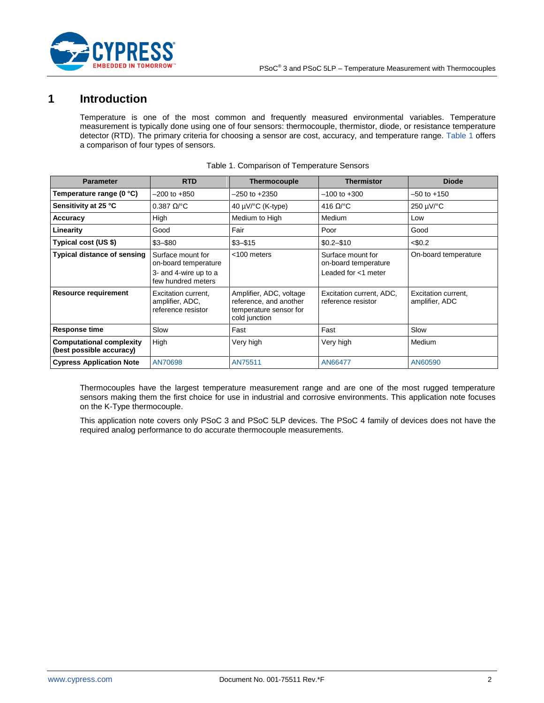

# <span id="page-1-0"></span>**1 Introduction**

Temperature is one of the most common and frequently measured environmental variables. Temperature measurement is typically done using one of four sensors: thermocouple, thermistor, diode, or resistance temperature detector (RTD). The primary criteria for choosing a sensor are cost, accuracy, and temperature range. [Table 1](#page-1-1) offers a comparison of four types of sensors.

<span id="page-1-1"></span>

| <b>Parameter</b>                                            | <b>RTD</b>                                                                               | <b>Thermocouple</b>                                                                          | <b>Thermistor</b>                                                | <b>Diode</b>                          |
|-------------------------------------------------------------|------------------------------------------------------------------------------------------|----------------------------------------------------------------------------------------------|------------------------------------------------------------------|---------------------------------------|
| Temperature range (0 °C)                                    | $-200$ to $+850$                                                                         | –250 to +2350                                                                                | $-100$ to $+300$                                                 | $-50$ to $+150$                       |
| Sensitivity at 25 °C                                        | $0.387 \Omega$ <sup>o</sup> C                                                            | 40 $\mu$ V/°C (K-type)                                                                       | 416 $\Omega$ <sup>o</sup> C                                      | 250 µV/°C                             |
| Accuracy                                                    | High                                                                                     | Medium to High                                                                               | Medium                                                           | Low                                   |
| Linearity                                                   | Good                                                                                     | Fair                                                                                         | Poor                                                             | Good                                  |
| Typical cost (US \$)                                        | $$3 - $80$                                                                               | $$3 - $15$                                                                                   | $$0.2 - $10$                                                     | < \$0.2                               |
| <b>Typical distance of sensing</b>                          | Surface mount for<br>on-board temperature<br>3- and 4-wire up to a<br>few hundred meters | $<$ 100 meters                                                                               | Surface mount for<br>on-board temperature<br>Leaded for <1 meter | On-board temperature                  |
| <b>Resource requirement</b>                                 | Excitation current.<br>amplifier, ADC,<br>reference resistor                             | Amplifier, ADC, voltage<br>reference, and another<br>temperature sensor for<br>cold junction | Excitation current, ADC,<br>reference resistor                   | Excitation current.<br>amplifier, ADC |
| <b>Response time</b>                                        | Slow                                                                                     | Fast                                                                                         | Fast                                                             | Slow                                  |
| <b>Computational complexity</b><br>(best possible accuracy) | High                                                                                     | Very high                                                                                    | Very high                                                        | Medium                                |
| <b>Cypress Application Note</b>                             | AN70698                                                                                  | AN75511                                                                                      | AN66477                                                          | AN60590                               |

|  |  | Table 1. Comparison of Temperature Sensors |
|--|--|--------------------------------------------|
|--|--|--------------------------------------------|

Thermocouples have the largest temperature measurement range and are one of the most rugged temperature sensors making them the first choice for use in industrial and corrosive environments. This application note focuses on the K-Type thermocouple.

This application note covers only PSoC 3 and PSoC 5LP devices. The PSoC 4 family of devices does not have the required analog performance to do accurate thermocouple measurements.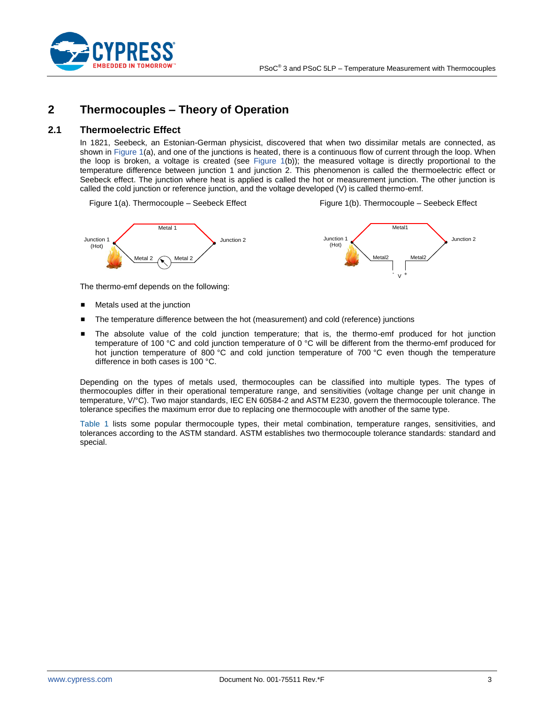

# <span id="page-2-0"></span>**2 Thermocouples – Theory of Operation**

## <span id="page-2-1"></span>**2.1 Thermoelectric Effect**

In 1821, Seebeck, an Estonian-German physicist, discovered that when two dissimilar metals are connected, as shown in [Figure 1\(](#page-2-2)a), and one of the junctions is heated, there is a continuous flow of current through the loop. When the loop is broken, a voltage is created (see [Figure 1\(](#page-2-2)b)); the measured voltage is directly proportional to the temperature difference between junction 1 and junction 2. This phenomenon is called the thermoelectric effect or Seebeck effect. The junction where heat is applied is called the hot or measurement junction. The other junction is called the cold junction or reference junction, and the voltage developed (V) is called thermo-emf.

<span id="page-2-2"></span>Figure 1(a). Thermocouple – Seebeck Effect

Figure 1(b). Thermocouple – Seebeck Effect



The thermo-emf depends on the following:

- Metals used at the junction
- The temperature difference between the hot (measurement) and cold (reference) junctions
- The absolute value of the cold junction temperature; that is, the thermo-emf produced for hot junction temperature of 100 °C and cold junction temperature of 0 °C will be different from the thermo-emf produced for hot junction temperature of 800 °C and cold junction temperature of 700 °C even though the temperature difference in both cases is 100 °C.

Depending on the types of metals used, thermocouples can be classified into multiple types. The types of thermocouples differ in their operational temperature range, and sensitivities (voltage change per unit change in temperature, V/°C). Two major standards, IEC EN 60584-2 and ASTM E230, govern the thermocouple tolerance. The tolerance specifies the maximum error due to replacing one thermocouple with another of the same type.

[Table 1](#page-1-1) lists some popular thermocouple types, their metal combination, temperature ranges, sensitivities, and tolerances according to the ASTM standard. ASTM establishes two thermocouple tolerance standards: standard and special.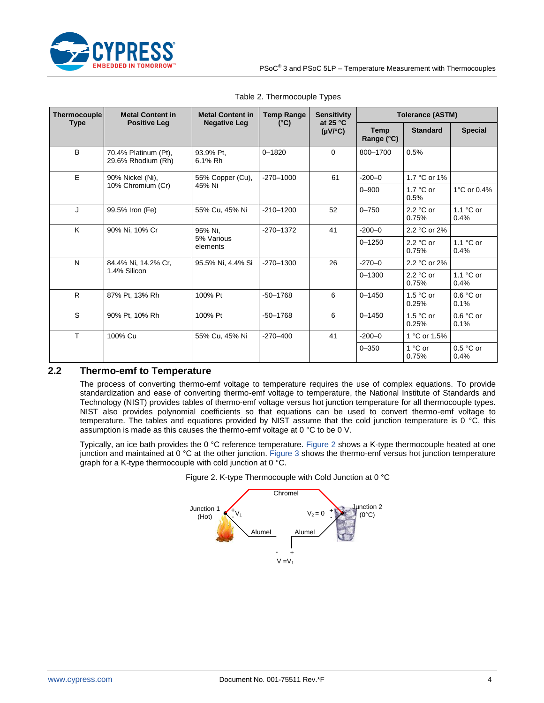

<span id="page-3-2"></span>

| <b>Thermocouple</b> | <b>Metal Content in</b><br><b>Positive Leg</b>                                  | <b>Metal Content in</b><br><b>Negative Leg</b> | <b>Temp Range</b> | <b>Sensitivity</b><br>at $25 °C$ | <b>Tolerance (ASTM)</b> |                             |                     |                    |                             |  |            |                    |
|---------------------|---------------------------------------------------------------------------------|------------------------------------------------|-------------------|----------------------------------|-------------------------|-----------------------------|---------------------|--------------------|-----------------------------|--|------------|--------------------|
| <b>Type</b>         |                                                                                 |                                                | $(^{\circ}C)$     | $(\mu V)^{\circ}C$               | Temp<br>Range (°C)      | <b>Standard</b>             | <b>Special</b>      |                    |                             |  |            |                    |
| B                   | 70.4% Platinum (Pt),<br>29.6% Rhodium (Rh)                                      | 93.9% Pt.<br>6.1% Rh                           | $0 - 1820$        | $\Omega$                         | 800-1700                | 0.5%                        |                     |                    |                             |  |            |                    |
| E                   | 90% Nickel (Ni),                                                                | 55% Copper (Cu),                               | $-270 - 1000$     | 61                               | $-200 - 0$              | 1.7 °C or 1%                |                     |                    |                             |  |            |                    |
|                     | 10% Chromium (Cr)                                                               | 45% Ni                                         |                   |                                  | $0 - 900$               | $1.7 \text{ °C}$ or<br>0.5% | 1°C or 0.4%         |                    |                             |  |            |                    |
| J                   | 99.5% Iron (Fe)                                                                 | 55% Cu, 45% Ni                                 | $-210 - 1200$     | 52                               | $0 - 750$               | 2.2 °C or<br>0.75%          | $1.1 °C$ or<br>0.4% |                    |                             |  |            |                    |
| K                   | 90% Ni, 10% Cr                                                                  | 95% Ni.<br>5% Various<br>elements              | $-270 - 1372$     | 41                               | $-200-0$                | 2.2 °C or 2%                |                     |                    |                             |  |            |                    |
|                     |                                                                                 |                                                |                   |                                  |                         |                             |                     |                    |                             |  | $0 - 1250$ | 2.2 °C or<br>0.75% |
| $\mathsf{N}$        | $-270 - 1300$<br>26<br>95.5% Ni, 4.4% Si<br>84.4% Ni, 14.2% Cr,<br>1.4% Silicon |                                                |                   |                                  | $-270 - 0$              | 2.2 °C or 2%                |                     |                    |                             |  |            |                    |
|                     |                                                                                 |                                                |                   |                                  |                         |                             | $0 - 1300$          | 2.2 °C or<br>0.75% | $1.1 \text{ °C}$ or<br>0.4% |  |            |                    |
| $\mathsf{R}$        | 87% Pt, 13% Rh                                                                  | 100% Pt                                        | $-50 - 1768$      | 6                                | $0 - 1450$              | $1.5 °C$ or<br>0.25%        | $0.6 °C$ or<br>0.1% |                    |                             |  |            |                    |
| S                   | 90% Pt. 10% Rh                                                                  | 100% Pt                                        | $-50 - 1768$      | 6                                | $0 - 1450$              | $1.5 °C$ or<br>0.25%        | $0.6 °C$ or<br>0.1% |                    |                             |  |            |                    |
| $\mathsf{T}$        | 100% Cu                                                                         | 55% Cu, 45% Ni                                 | $-270 - 400$      | 41                               | $-200 - 0$              | 1 °C or 1.5%                |                     |                    |                             |  |            |                    |
|                     |                                                                                 |                                                |                   |                                  | $0 - 350$               | 1 °C or<br>0.75%            | $0.5 °C$ or<br>0.4% |                    |                             |  |            |                    |

#### Table 2. Thermocouple Types

## <span id="page-3-0"></span>**2.2 Thermo-emf to Temperature**

The process of converting thermo-emf voltage to temperature requires the use of complex equations. To provide standardization and ease of converting thermo-emf voltage to temperature, the National Institute of Standards and Technology (NIST) provides tables of thermo-emf voltage versus hot junction temperature for all thermocouple types. NIST also provides polynomial coefficients so that equations can be used to convert thermo-emf voltage to temperature. The tables and equations provided by NIST assume that the cold junction temperature is 0 °C, this assumption is made as this causes the thermo-emf voltage at 0 °C to be 0 V.

<span id="page-3-1"></span>Typically, an ice bath provides the 0 °C reference temperature. [Figure 2](#page-3-1) shows a K-type thermocouple heated at one junction and maintained at 0 °C at the other junction. [Figure 3](#page-4-1) shows the thermo-emf versus hot junction temperature graph for a K-type thermocouple with cold junction at 0 °C.



Figure 2. K-type Thermocouple with Cold Junction at 0 °C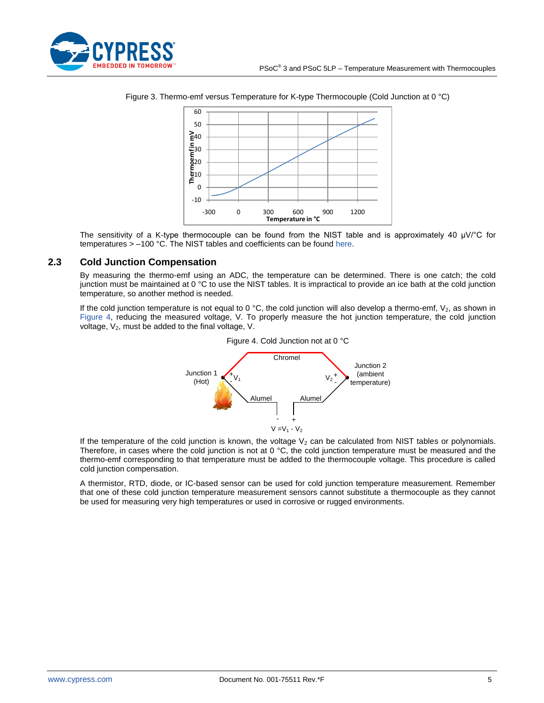<span id="page-4-1"></span>



Figure 3. Thermo-emf versus Temperature for K-type Thermocouple (Cold Junction at 0 °C)

The sensitivity of a K-type thermocouple can be found from the NIST table and is approximately 40  $\mu$ V/°C for temperatures > –100 °C. The NIST tables and coefficients can be found [here.](http://srdata.nist.gov/its90/menu/menu.html)

## <span id="page-4-0"></span>**2.3 Cold Junction Compensation**

By measuring the thermo-emf using an ADC, the temperature can be determined. There is one catch; the cold junction must be maintained at 0 °C to use the NIST tables. It is impractical to provide an ice bath at the cold junction temperature, so another method is needed.

<span id="page-4-2"></span>If the cold junction temperature is not equal to 0 °C, the cold junction will also develop a thermo-emf,  $V_2$ , as shown in [Figure 4,](#page-4-2) reducing the measured voltage, V. To properly measure the hot junction temperature, the cold junction voltage,  $V_2$ , must be added to the final voltage, V.



#### Figure 4. Cold Junction not at 0 °C

If the temperature of the cold junction is known, the voltage  $V_2$  can be calculated from NIST tables or polynomials. Therefore, in cases where the cold junction is not at 0  $\degree$ C, the cold junction temperature must be measured and the thermo-emf corresponding to that temperature must be added to the thermocouple voltage. This procedure is called cold junction compensation.

A thermistor, RTD, diode, or IC-based sensor can be used for cold junction temperature measurement. Remember that one of these cold junction temperature measurement sensors cannot substitute a thermocouple as they cannot be used for measuring very high temperatures or used in corrosive or rugged environments.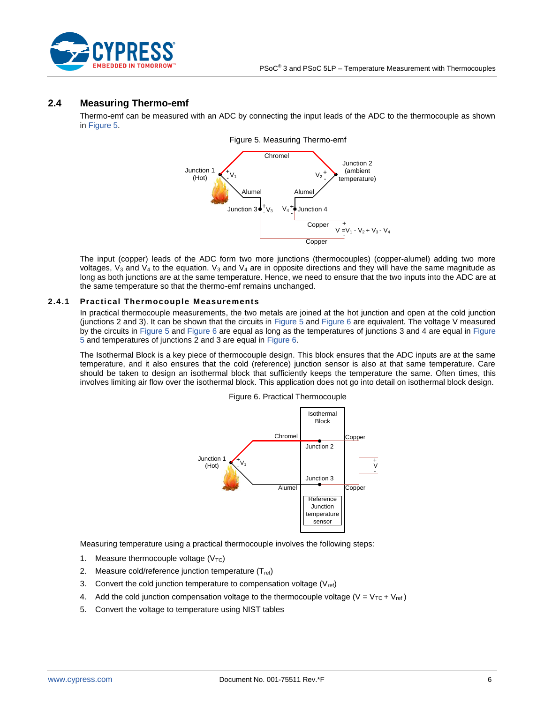

## <span id="page-5-1"></span><span id="page-5-0"></span>**2.4 Measuring Thermo-emf**

Thermo-emf can be measured with an ADC by connecting the input leads of the ADC to the thermocouple as shown i[n Figure 5.](#page-5-1)



The input (copper) leads of the ADC form two more junctions (thermocouples) (copper-alumel) adding two more voltages,  $V_3$  and  $V_4$  to the equation.  $V_3$  and  $V_4$  are in opposite directions and they will have the same magnitude as long as both junctions are at the same temperature. Hence, we need to ensure that the two inputs into the ADC are at the same temperature so that the thermo-emf remains unchanged.

#### **2.4.1 Practical Thermocouple Measurements**

In practical thermocouple measurements, the two metals are joined at the hot junction and open at the cold junction (junctions 2 and 3). It can be shown that the circuits in [Figure 5](#page-5-1) and [Figure 6](#page-5-2) are equivalent. The voltage V measured by the circuits in [Figure 5](#page-5-1) and [Figure 6](#page-5-2) are equal as long as the temperatures of junctions 3 and 4 are equal i[n Figure](#page-5-1)  [5](#page-5-1) and temperatures of junctions 2 and 3 are equal i[n Figure 6.](#page-5-2)

<span id="page-5-2"></span>The Isothermal Block is a key piece of thermocouple design. This block ensures that the ADC inputs are at the same temperature, and it also ensures that the cold (reference) junction sensor is also at that same temperature. Care should be taken to design an isothermal block that sufficiently keeps the temperature the same. Often times, this involves limiting air flow over the isothermal block. This application does not go into detail on isothermal block design.



Figure 6. Practical Thermocouple

Measuring temperature using a practical thermocouple involves the following steps:

- 1. Measure thermocouple voltage  $(V_{TC})$
- 2. Measure cold/reference junction temperature  $(T_{ref})$
- 3. Convert the cold junction temperature to compensation voltage  $(V_{ref})$
- 4. Add the cold junction compensation voltage to the thermocouple voltage ( $V = V_{TC} + V_{ref}$ )
- 5. Convert the voltage to temperature using NIST tables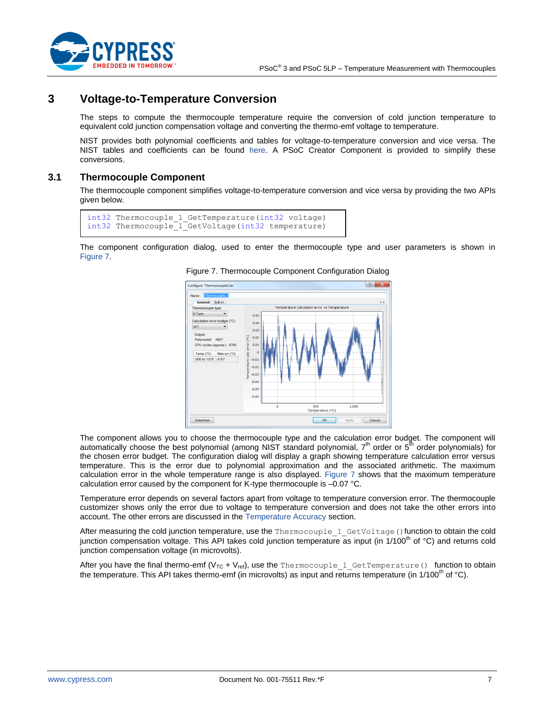

# <span id="page-6-0"></span>**3 Voltage-to-Temperature Conversion**

The steps to compute the thermocouple temperature require the conversion of cold junction temperature to equivalent cold junction compensation voltage and converting the thermo-emf voltage to temperature.

NIST provides both polynomial coefficients and tables for voltage-to-temperature conversion and vice versa. The NIST tables and coefficients can be found [here.](http://srdata.nist.gov/its90/menu/menu.html) A PSoC Creator Component is provided to simplify these conversions.

## <span id="page-6-1"></span>**3.1 Thermocouple Component**

The thermocouple component simplifies voltage-to-temperature conversion and vice versa by providing the two APIs given below.

```
int32 Thermocouple 1 GetTemperature(int32 voltage)
int32 Thermocouple_1_GetVoltage(int32 temperature)
```
<span id="page-6-2"></span>The component configuration dialog, used to enter the thermocouple type and user parameters is shown in [Figure 7.](#page-6-2)





The component allows you to choose the thermocouple type and the calculation error budget. The component will automatically choose the best polynomial (among NIST standard polynomial, 7<sup>th</sup> order or 5<sup>th</sup> order polynomials) for the chosen error budget. The configuration dialog will display a graph showing temperature calculation error versus temperature. This is the error due to polynomial approximation and the associated arithmetic. The maximum calculation error in the whole temperature range is also displayed. [Figure 7](#page-6-2) shows that the maximum temperature calculation error caused by the component for K-type thermocouple is –0.07 °C.

Temperature error depends on several factors apart from voltage to temperature conversion error. The thermocouple customizer shows only the error due to voltage to temperature conversion and does not take the other errors into account. The other errors are discussed in the [Temperature Accuracy](#page-10-0) section.

After measuring the cold junction temperature, use the Thermocouple 1 GetVoltage() function to obtain the cold junction compensation voltage. This API takes cold junction temperature as input (in  $1/100<sup>th</sup>$  of  $^{\circ}$ C) and returns cold junction compensation voltage (in microvolts).

After you have the final thermo-emf (V<sub>TC</sub> + V<sub>ref</sub>), use the Thermocouple\_1\_GetTemperature() function to obtain the temperature. This API takes thermo-emf (in microvolts) as input and returns temperature (in 1/100<sup>th</sup> of °C).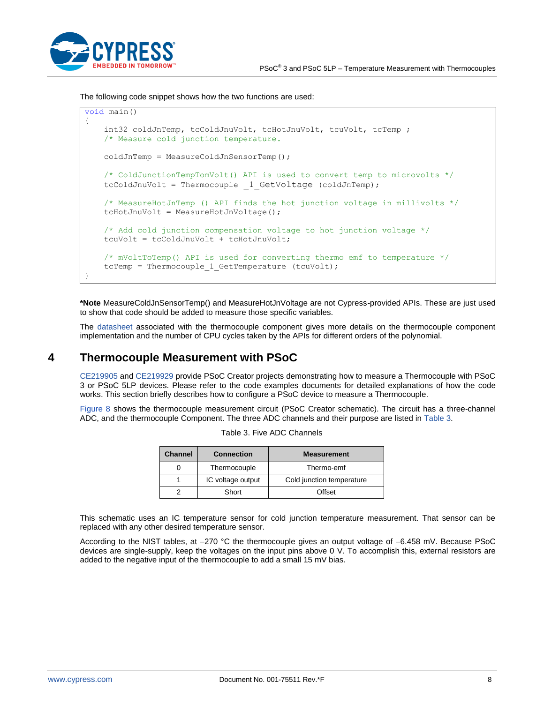

The following code snippet shows how the two functions are used:

```
void main()
{
   int32 coldJnTemp, tcColdJnuVolt, tcHotJnuVolt, tcuVolt, tcTemp;
    /* Measure cold junction temperature. 
    coldJnTemp = MeasureColdJnSensorTemp();
    /* ColdJunctionTempTomVolt() API is used to convert temp to microvolts */
   tcColdJnuVolt = Thermocouple 1 GetVoltage (coldJnTemp);
    /* MeasureHotJnTemp () API finds the hot junction voltage in millivolts */
    tcHotJnuVolt = MeasureHotJnVoltage();
    /* Add cold junction compensation voltage to hot junction voltage */
    tcuVolt = tcColdJnuVolt + tcHotJnuVolt;
    /* mVoltToTemp() API is used for converting thermo emf to temperature */
   tcTemp = Thermocouple 1 GetTemperature (tcuVolt);
}
```
**\*Note** MeasureColdJnSensorTemp() and MeasureHotJnVoltage are not Cypress-provided APIs. These are just used to show that code should be added to measure those specific variables.

The [datasheet](http://www.cypress.com/?rID=69779) associated with the thermocouple component gives more details on the thermocouple component implementation and the number of CPU cycles taken by the APIs for different orders of the polynomial.

# <span id="page-7-0"></span>**4 Thermocouple Measurement with PSoC**

[CE219905](http://www.cypress.com/CE219905) an[d CE219929](http://www.cypress.com/CE219929) provide PSoC Creator projects demonstrating how to measure a Thermocouple with PSoC 3 or PSoC 5LP devices. Please refer to the code examples documents for detailed explanations of how the code works. This section briefly describes how to configure a PSoC device to measure a Thermocouple.

<span id="page-7-1"></span>[Figure 8](#page-8-0) shows the thermocouple measurement circuit (PSoC Creator schematic). The circuit has a three-channel ADC, and the thermocouple Component. The three ADC channels and their purpose are listed in [Table 3.](#page-7-1)

| <b>Channel</b> | <b>Connection</b> | <b>Measurement</b>        |
|----------------|-------------------|---------------------------|
|                | Thermocouple      | Thermo-emf                |
|                | IC voltage output | Cold junction temperature |
|                | Short             | Offset                    |

| Table 3. Five ADC Channels |  |  |
|----------------------------|--|--|
|----------------------------|--|--|

This schematic uses an IC temperature sensor for cold junction temperature measurement. That sensor can be replaced with any other desired temperature sensor.

According to the NIST tables, at –270 °C the thermocouple gives an output voltage of –6.458 mV. Because PSoC devices are single-supply, keep the voltages on the input pins above 0 V. To accomplish this, external resistors are added to the negative input of the thermocouple to add a small 15 mV bias.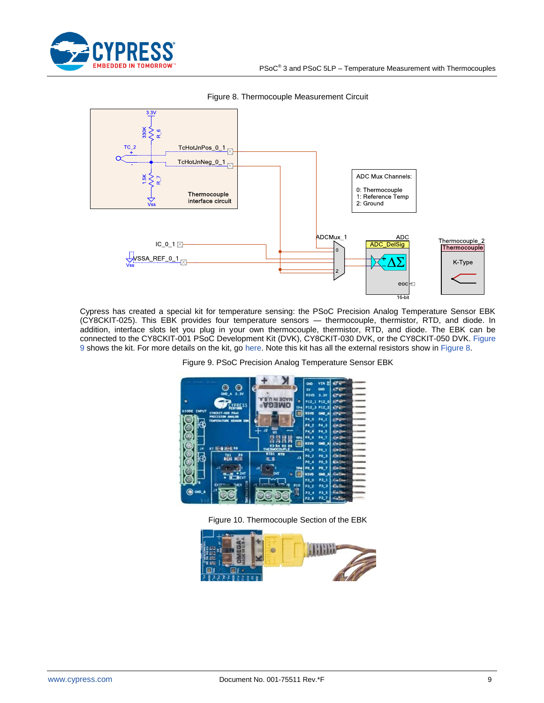

<span id="page-8-0"></span>

Figure 8. Thermocouple Measurement Circuit

<span id="page-8-1"></span>Cypress has created a special kit for temperature sensing: the PSoC Precision Analog Temperature Sensor EBK (CY8CKIT-025). This EBK provides four temperature sensors — thermocouple, thermistor, RTD, and diode. In addition, interface slots let you plug in your own thermocouple, thermistor, RTD, and diode. The EBK can be connected to the CY8CKIT-001 PSoC Development Kit (DVK), CY8CKIT-030 DVK, or the CY8CKIT-050 DVK. Figure [9](#page-8-1) shows the kit. For more details on the kit, go [here.](http://www.cypress.com/documentation/development-kitsboards/cy8ckit-025-psoc-precision-analog-temperature-sensor-expansion) Note this kit has all the external resistors show in [Figure 8.](#page-8-0)



Figure 9. PSoC Precision Analog Temperature Sensor EBK

Figure 10. Thermocouple Section of the EBK

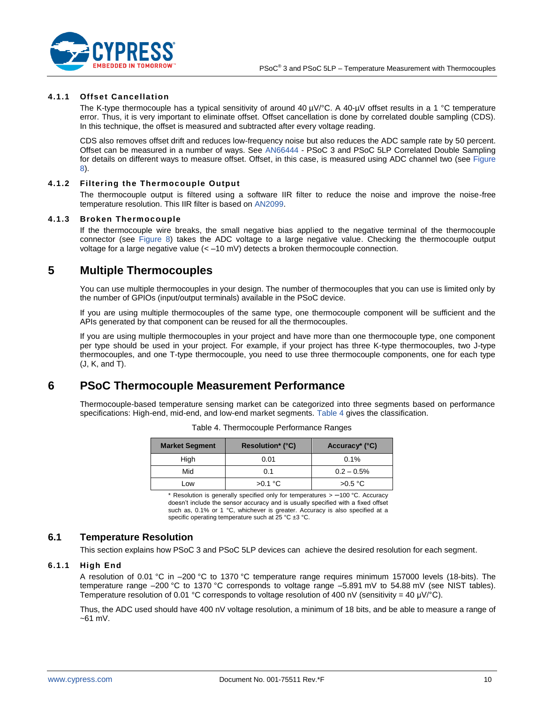

#### <span id="page-9-4"></span>**4.1.1 Offset Cancellation**

The K-type thermocouple has a typical sensitivity of around 40 µV/°C. A 40-µV offset results in a 1 °C temperature error. Thus, it is very important to eliminate offset. Offset cancellation is done by correlated double sampling (CDS). In this technique, the offset is measured and subtracted after every voltage reading.

CDS also removes offset drift and reduces low-frequency noise but also reduces the ADC sample rate by 50 percent. Offset can be measured in a number of ways. See [AN66444](http://www.cypress.com/?rID=49159) - PSoC 3 and PSoC 5LP Correlated Double Sampling for details on different ways to measure offset. Offset, in this case, is measured using ADC channel two (see [Figure](#page-8-0)  [8\)](#page-8-0).

### **4.1.2 Filtering the Thermocouple Output**

The thermocouple output is filtered using a software IIR filter to reduce the noise and improve the noise-free temperature resolution. This IIR filter is based o[n AN2099.](http://www.cypress.com/AN2099)

#### **4.1.3 Broken Thermocouple**

If the thermocouple wire breaks, the small negative bias applied to the negative terminal of the thermocouple connector (see [Figure 8\)](#page-8-0) takes the ADC voltage to a large negative value. Checking the thermocouple output voltage for a large negative value (< –10 mV) detects a broken thermocouple connection.

## <span id="page-9-0"></span>**5 Multiple Thermocouples**

You can use multiple thermocouples in your design. The number of thermocouples that you can use is limited only by the number of GPIOs (input/output terminals) available in the PSoC device.

If you are using multiple thermocouples of the same type, one thermocouple component will be sufficient and the APIs generated by that component can be reused for all the thermocouples.

If you are using multiple thermocouples in your project and have more than one thermocouple type, one component per type should be used in your project. For example, if your project has three K-type thermocouples, two J-type thermocouples, and one T-type thermocouple, you need to use three thermocouple components, one for each type (J, K, and T).

# <span id="page-9-1"></span>**6 PSoC Thermocouple Measurement Performance**

<span id="page-9-3"></span>Thermocouple-based temperature sensing market can be categorized into three segments based on performance specifications: High-end, mid-end, and low-end market segments. [Table 4](#page-9-3) gives the classification.

| <b>Market Segment</b> | <b>Resolution*</b> (°C) | Accuracy <sup>*</sup> (°C) |
|-----------------------|-------------------------|----------------------------|
| High                  | 0.01                    | 0.1%                       |
| Mid                   | 0.1                     | $0.2 - 0.5\%$              |
| Low                   | $>0.1\textdegree C$     | $>0.5$ °C                  |

|  | Table 4. Thermocouple Performance Ranges |  |
|--|------------------------------------------|--|
|  |                                          |  |

 $*$  Resolution is generally specified only for temperatures  $> -100$  °C. Accuracy doesn't include the sensor accuracy and is usually specified with a fixed offset such as, 0.1% or 1 °C, whichever is greater. Accuracy is also specified at a specific operating temperature such at 25 °C ±3 °C.

## <span id="page-9-2"></span>**6.1 Temperature Resolution**

This section explains how PSoC 3 and PSoC 5LP devices can achieve the desired resolution for each segment.

## **6.1.1 High End**

A resolution of 0.01 °C in –200 °C to 1370 °C temperature range requires minimum 157000 levels (18-bits). The temperature range –200 °C to 1370 °C corresponds to voltage range –5.891 mV to 54.88 mV (see NIST tables). Temperature resolution of 0.01 °C corresponds to voltage resolution of 400 nV (sensitivity = 40 µV/°C).

Thus, the ADC used should have 400 nV voltage resolution, a minimum of 18 bits, and be able to measure a range of  $-61$  mV.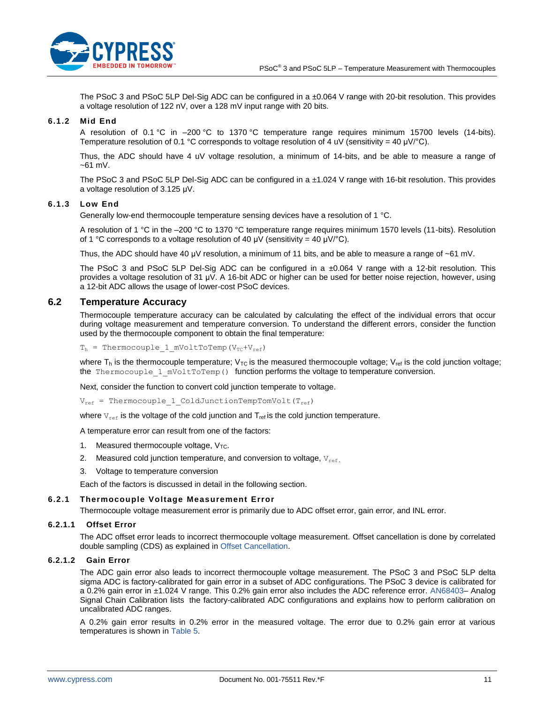

The PSoC 3 and PSoC 5LP Del-Sig ADC can be configured in a ±0.064 V range with 20-bit resolution. This provides a voltage resolution of 122 nV, over a 128 mV input range with 20 bits.

#### **6.1.2 Mid End**

A resolution of 0.1 °C in -200 °C to 1370 °C temperature range requires minimum 15700 levels (14-bits). Temperature resolution of 0.1 °C corresponds to voltage resolution of 4 uV (sensitivity = 40 µV/°C).

Thus, the ADC should have 4 uV voltage resolution, a minimum of 14-bits, and be able to measure a range of  $-61$  mV.

The PSoC 3 and PSoC 5LP Del-Sig ADC can be configured in a ±1.024 V range with 16-bit resolution. This provides a voltage resolution of 3.125 μV.

#### **6.1.3 Low End**

Generally low-end thermocouple temperature sensing devices have a resolution of 1 °C.

A resolution of 1 °C in the –200 °C to 1370 °C temperature range requires minimum 1570 levels (11-bits). Resolution of 1 °C corresponds to a voltage resolution of 40 μV (sensitivity = 40 μV/°C).

Thus, the ADC should have 40 μV resolution, a minimum of 11 bits, and be able to measure a range of ~61 mV.

The PSoC 3 and PSoC 5LP Del-Sig ADC can be configured in a ±0.064 V range with a 12-bit resolution. This provides a voltage resolution of 31 μV. A 16-bit ADC or higher can be used for better noise rejection, however, using a 12-bit ADC allows the usage of lower-cost PSoC devices.

## <span id="page-10-0"></span>**6.2 Temperature Accuracy**

Thermocouple temperature accuracy can be calculated by calculating the effect of the individual errors that occur during voltage measurement and temperature conversion. To understand the different errors, consider the function used by the thermocouple component to obtain the final temperature:

 $T_h$  = Thermocouple 1 mVoltToTemp(V<sub>TC</sub>+V<sub>ref</sub>)

where  $T_h$  is the thermocouple temperature;  $V_{TC}$  is the measured thermocouple voltage;  $V_{ref}$  is the cold junction voltage; the Thermocouple 1 mVoltToTemp() function performs the voltage to temperature conversion.

Next, consider the function to convert cold junction temperate to voltage.

 $V_{ref}$  = Thermocouple 1 ColdJunctionTempTomVolt(T<sub>ref</sub>)

where  $V_{ref}$  is the voltage of the cold junction and  $T_{ref}$  is the cold junction temperature.

A temperature error can result from one of the factors:

- 1. Measured thermocouple voltage,  $V_{TC}$ .
- 2. Measured cold junction temperature, and conversion to voltage,  $V_{ref.}$
- 3. Voltage to temperature conversion

Each of the factors is discussed in detail in the following section.

#### **6.2.1 Thermocouple Voltage Measurement Error**

Thermocouple voltage measurement error is primarily due to ADC offset error, gain error, and INL error.

### **6.2.1.1 Offset Error**

The ADC offset error leads to incorrect thermocouple voltage measurement. Offset cancellation is done by correlated double sampling (CDS) as explained in [Offset Cancellation.](#page-9-4)

### **6.2.1.2 Gain Error**

The ADC gain error also leads to incorrect thermocouple voltage measurement. The PSoC 3 and PSoC 5LP delta sigma ADC is factory-calibrated for gain error in a subset of ADC configurations. The PSoC 3 device is calibrated for a 0.2% gain error in ±1.024 V range. This 0.2% gain error also includes the ADC reference error. [AN68403–](http://www.cypress.com/?rID=50320) Analog Signal Chain Calibration lists the factory-calibrated ADC configurations and explains how to perform calibration on uncalibrated ADC ranges.

A 0.2% gain error results in 0.2% error in the measured voltage. The error due to 0.2% gain error at various temperatures is shown i[n Table 5.](#page-11-0)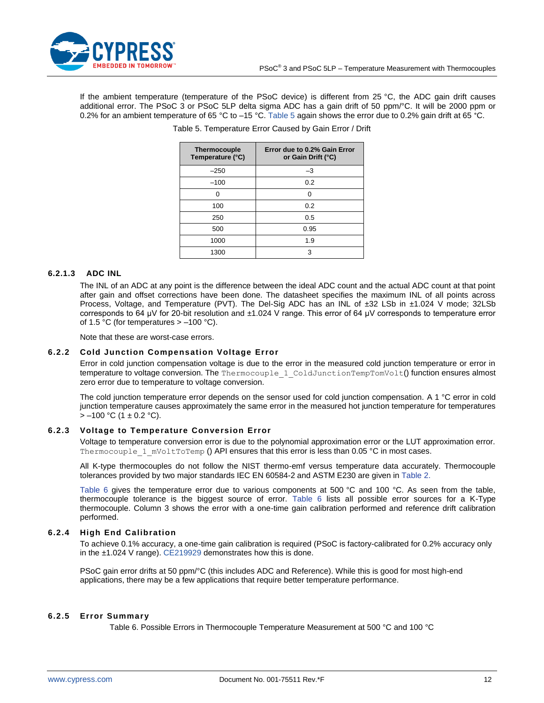

<span id="page-11-0"></span>If the ambient temperature (temperature of the PSoC device) is different from 25 °C, the ADC gain drift causes additional error. The PSoC 3 or PSoC 5LP delta sigma ADC has a gain drift of 50 ppm/°C. It will be 2000 ppm or 0.2% for an ambient temperature of 65 °C to -15 °C. [Table 5](#page-11-0) again shows the error due to 0.2% gain drift at 65 °C.

| Thermocouple<br>Temperature (°C) | Error due to 0.2% Gain Error<br>or Gain Drift (°C) |
|----------------------------------|----------------------------------------------------|
| $-250$                           | $-3$                                               |
| $-100$                           | 0.2                                                |
|                                  | O                                                  |
| 100                              | 0.2                                                |
| 250                              | 0.5                                                |
| 500                              | 0.95                                               |
| 1000                             | 1.9                                                |
| 1300                             | 3                                                  |

Table 5. Temperature Error Caused by Gain Error / Drift

### **6.2.1.3 ADC INL**

The INL of an ADC at any point is the difference between the ideal ADC count and the actual ADC count at that point after gain and offset corrections have been done. The datasheet specifies the maximum INL of all points across Process, Voltage, and Temperature (PVT). The Del-Sig ADC has an INL of ±32 LSb in ±1.024 V mode; 32LSb corresponds to 64 μV for 20-bit resolution and ±1.024 V range. This error of 64 μV corresponds to temperature error of 1.5 °C (for temperatures  $> -100$  °C).

Note that these are worst-case errors.

#### **6.2.2 Cold Junction Compensation Voltage Error**

Error in cold junction compensation voltage is due to the error in the measured cold junction temperature or error in temperature to voltage conversion. The Thermocouple 1 ColdJunctionTempTomVolt() function ensures almost zero error due to temperature to voltage conversion.

The cold junction temperature error depends on the sensor used for cold junction compensation. A 1 °C error in cold junction temperature causes approximately the same error in the measured hot junction temperature for temperatures  $> -100$  °C (1  $\pm$  0.2 °C).

#### **6.2.3 Voltage to Temperature Conversion Error**

Voltage to temperature conversion error is due to the polynomial approximation error or the LUT approximation error. Thermocouple 1 mVoltToTemp () API ensures that this error is less than 0.05 °C in most cases.

All K-type thermocouples do not follow the NIST thermo-emf versus temperature data accurately. Thermocouple tolerances provided by two major standards IEC EN 60584-2 and ASTM E230 are given in [Table 2.](#page-3-2)

[Table 6](#page-11-1) gives the temperature error due to various components at 500 °C and 100 °C. As seen from the table, thermocouple tolerance is the biggest source of error. [Table 6](#page-11-1) lists all possible error sources for a K-Type thermocouple. Column 3 shows the error with a one-time gain calibration performed and reference drift calibration performed.

#### **6.2.4 High End Calibration**

To achieve 0.1% accuracy, a one-time gain calibration is required (PSoC is factory-calibrated for 0.2% accuracy only in the  $±1.024$  V range). [CE219929](http://www.cypress.com/CE219929) demonstrates how this is done.

PSoC gain error drifts at 50 ppm/°C (this includes ADC and Reference). While this is good for most high-end applications, there may be a few applications that require better temperature performance.

### <span id="page-11-1"></span>**6.2.5 Error Summary**

Table 6. Possible Errors in Thermocouple Temperature Measurement at 500 °C and 100 °C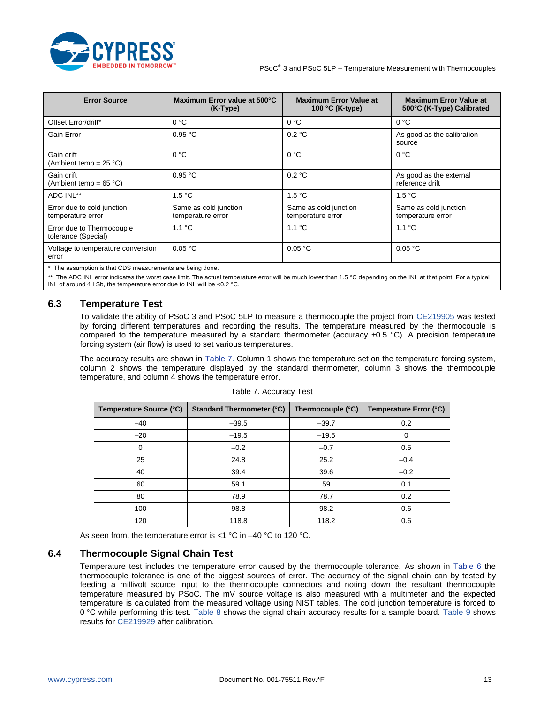

| <b>Error Source</b>                              | Maximum Error value at 500°C<br>$(K-Type)$ | <b>Maximum Error Value at</b><br>100 °C (K-type) | <b>Maximum Error Value at</b><br>500°C (K-Type) Calibrated |
|--------------------------------------------------|--------------------------------------------|--------------------------------------------------|------------------------------------------------------------|
| Offset Error/drift*                              | 0 °C                                       | 0 °C                                             | 0 °C                                                       |
| Gain Error                                       | 0.95 °C                                    | 0.2 °C                                           | As good as the calibration<br>source                       |
| Gain drift<br>(Ambient temp = $25 °C$ )          | 0 °C                                       | 0 °C                                             | 0 °C                                                       |
| Gain drift<br>(Ambient temp = $65 °C$ )          | 0.95 °C                                    | 0.2 °C                                           | As good as the external<br>reference drift                 |
| ADC INL**                                        | 1.5 °C                                     | 1.5 °C                                           | 1.5 °C                                                     |
| Error due to cold junction<br>temperature error  | Same as cold junction<br>temperature error | Same as cold junction<br>temperature error       | Same as cold junction<br>temperature error                 |
| Error due to Thermocouple<br>tolerance (Special) | 1.1 °C                                     | 1.1 °C                                           | 1.1 °C                                                     |
| Voltage to temperature conversion<br>error       | 0.05 °C                                    | 0.05 °C                                          | 0.05 °C                                                    |

The assumption is that CDS measurements are being done.

\*\* The ADC INL error indicates the worst case limit. The actual temperature error will be much lower than 1.5 °C depending on the INL at that point. For a typical<br>INL of around 4 LSb, the temperature error due to INL will

## <span id="page-12-0"></span>**6.3 Temperature Test**

To validate the ability of PSoC 3 and PSoC 5LP to measure a thermocouple the project from [CE219905](http://www.cypress.com/CE219905) was tested by forcing different temperatures and recording the results. The temperature measured by the thermocouple is compared to the temperature measured by a standard thermometer (accuracy  $\pm 0.5$  °C). A precision temperature forcing system (air flow) is used to set various temperatures.

<span id="page-12-2"></span>The accuracy results are shown in [Table 7.](#page-12-2) Column 1 shows the temperature set on the temperature forcing system, column 2 shows the temperature displayed by the standard thermometer, column 3 shows the thermocouple temperature, and column 4 shows the temperature error.

| Temperature Source (°C) | <b>Standard Thermometer (°C)</b> | Thermocouple (°C) | Temperature Error (°C) |
|-------------------------|----------------------------------|-------------------|------------------------|
| $-40$                   | $-39.5$                          | $-39.7$           | 0.2                    |
| $-20$                   | $-19.5$                          | $-19.5$           | $\Omega$               |
| $\Omega$                | $-0.2$                           | $-0.7$            | 0.5                    |
| 25                      | 24.8                             | 25.2              | $-0.4$                 |
| 40                      | 39.4                             | 39.6              | $-0.2$                 |
| 60                      | 59.1                             | 59                | 0.1                    |
| 80                      | 78.9                             | 78.7              | 0.2                    |
| 100                     | 98.8                             | 98.2              | 0.6                    |
| 120                     | 118.8                            | 118.2             | 0.6                    |

Table 7. Accuracy Test

As seen from, the temperature error is <1 °C in –40 °C to 120 °C.

## <span id="page-12-1"></span>**6.4 Thermocouple Signal Chain Test**

Temperature test includes the temperature error caused by the thermocouple tolerance. As shown in [Table 6](#page-11-1) the thermocouple tolerance is one of the biggest sources of error. The accuracy of the signal chain can by tested by feeding a millivolt source input to the thermocouple connectors and noting down the resultant thermocouple temperature measured by PSoC. The mV source voltage is also measured with a multimeter and the expected temperature is calculated from the measured voltage using NIST tables. The cold junction temperature is forced to 0 °C while performing this test. [Table 8](#page-13-0) shows the signal chain accuracy results for a sample board. [Table 9](#page-14-3) shows results for [CE219929](http://www.cypress.com/CE219929) after calibration.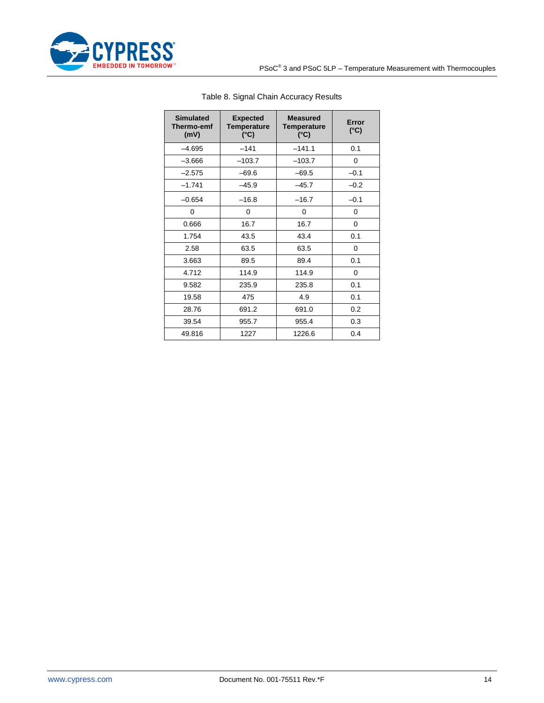<span id="page-13-0"></span>

| <b>Simulated</b><br>Thermo-emf<br>(mV) | <b>Expected</b><br><b>Temperature</b><br>$(^{\circ}C)$ | <b>Measured</b><br><b>Temperature</b><br>$(^{\circ}C)$ | Error<br>$(^{\circ}C)$ |
|----------------------------------------|--------------------------------------------------------|--------------------------------------------------------|------------------------|
| $-4.695$                               | $-141$                                                 | $-141.1$                                               | 0.1                    |
| $-3.666$                               | $-103.7$                                               | $-103.7$                                               | 0                      |
| $-2.575$                               | $-69.6$                                                | $-69.5$                                                | $-0.1$                 |
| $-1.741$                               | $-45.9$                                                | $-45.7$                                                | $-0.2$                 |
| $-0.654$                               | $-16.8$                                                | $-16.7$                                                | $-0.1$                 |
| 0                                      | 0                                                      | 0                                                      | 0                      |
| 0.666                                  | 16.7                                                   | 16.7                                                   | 0                      |
| 1.754                                  | 43.5                                                   | 43.4                                                   | 0.1                    |
| 2.58                                   | 63.5                                                   | 63.5                                                   | 0                      |
| 3.663                                  | 89.5                                                   | 89.4                                                   | 0.1                    |
| 4.712                                  | 114.9                                                  | 114.9                                                  | 0                      |
| 9.582                                  | 235.9                                                  | 235.8                                                  | 0.1                    |
| 19.58                                  | 475                                                    | 4.9                                                    | 0.1                    |
| 28.76                                  | 691.2                                                  | 691.0                                                  | 0.2                    |
| 39.54                                  | 955.7                                                  | 955.4                                                  | 0.3                    |
| 49.816                                 | 1227                                                   | 1226.6                                                 | 0.4                    |

## Table 8. Signal Chain Accuracy Results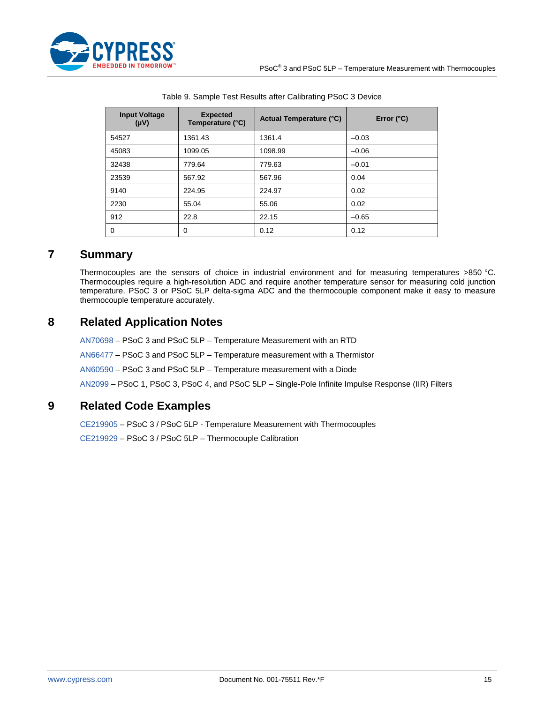

<span id="page-14-3"></span>

| <b>Input Voltage</b><br>(Vu) | <b>Expected</b><br>Temperature (°C) | <b>Actual Temperature (°C)</b> | Error $(^{\circ}C)$ |
|------------------------------|-------------------------------------|--------------------------------|---------------------|
| 54527                        | 1361.43                             | 1361.4                         | $-0.03$             |
| 45083                        | 1099.05                             | 1098.99                        | $-0.06$             |
| 32438                        | 779.64                              | 779.63                         | $-0.01$             |
| 23539                        | 567.92                              | 567.96                         | 0.04                |
| 9140                         | 224.95                              | 224.97                         | 0.02                |
| 2230                         | 55.04                               | 55.06                          | 0.02                |
| 912                          | 22.8                                | 22.15                          | $-0.65$             |
| 0                            | $\Omega$                            | 0.12                           | 0.12                |

| Table 9. Sample Test Results after Calibrating PSoC 3 Device |  |  |  |  |  |
|--------------------------------------------------------------|--|--|--|--|--|
|--------------------------------------------------------------|--|--|--|--|--|

# <span id="page-14-2"></span>**7 Summary**

Thermocouples are the sensors of choice in industrial environment and for measuring temperatures >850 °C. Thermocouples require a high-resolution ADC and require another temperature sensor for measuring cold junction temperature. PSoC 3 or PSoC 5LP delta-sigma ADC and the thermocouple component make it easy to measure thermocouple temperature accurately.

# <span id="page-14-1"></span>**8 Related Application Notes**

[AN70698](http://www.cypress.com/?rID=57546) – PSoC 3 and PSoC 5LP – Temperature Measurement with an RTD

[AN66477](http://www.cypress.com/?rID=49052) – PSoC 3 and PSoC 5LP – Temperature measurement with a Thermistor

[AN60590](http://www.cypress.com/?rID=42993) – PSoC 3 and PSoC 5LP – Temperature measurement with a Diode

[AN2099](http://www.cypress.com/AN2099) – PSoC 1, PSoC 3, PSoC 4, and PSoC 5LP – Single-Pole Infinite Impulse Response (IIR) Filters

# <span id="page-14-0"></span>**9 Related Code Examples**

[CE219905](http://www.cypress.com/CE219905) – PSoC 3 / PSoC 5LP - Temperature Measurement with Thermocouples

[CE219929](http://www.cypress.com/CE219929) – PSoC 3 / PSoC 5LP – Thermocouple Calibration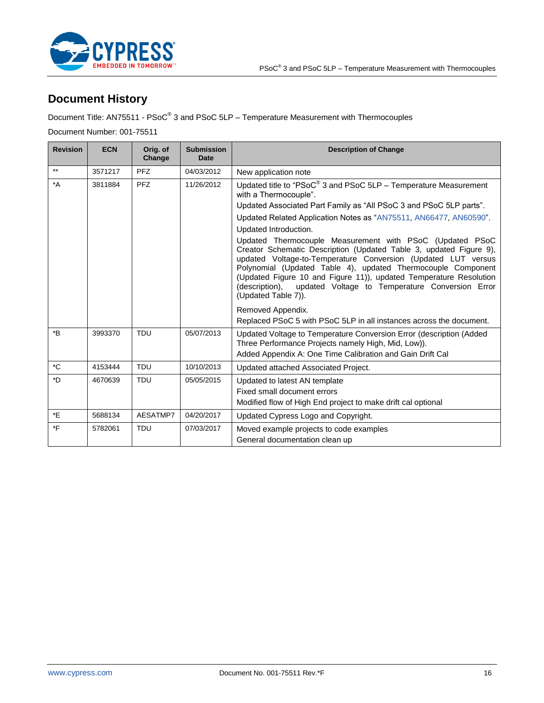

# **Document History**

Document Title: AN75511 - PSoC<sup>®</sup> 3 and PSoC 5LP – Temperature Measurement with Thermocouples

Document Number: 001-75511

| <b>Revision</b>  | <b>ECN</b> | Orig. of<br>Change | <b>Submission</b><br><b>Date</b> | <b>Description of Change</b>                                                                                                                                                                                                                                                                                                                                                                                                                                                                                                     |
|------------------|------------|--------------------|----------------------------------|----------------------------------------------------------------------------------------------------------------------------------------------------------------------------------------------------------------------------------------------------------------------------------------------------------------------------------------------------------------------------------------------------------------------------------------------------------------------------------------------------------------------------------|
| $***$            | 3571217    | PFZ                | 04/03/2012                       | New application note                                                                                                                                                                                                                                                                                                                                                                                                                                                                                                             |
| $^*A$            | 3811884    | PFZ                | 11/26/2012                       | Updated title to "PSoC® 3 and PSoC 5LP - Temperature Measurement<br>with a Thermocouple".<br>Updated Associated Part Family as "All PSoC 3 and PSoC 5LP parts".<br>Updated Related Application Notes as "AN75511, AN66477, AN60590".<br>Updated Introduction.<br>Updated Thermocouple Measurement with PSoC (Updated PSoC<br>Creator Schematic Description (Updated Table 3, updated Figure 9),<br>updated Voltage-to-Temperature Conversion (Updated LUT versus<br>Polynomial (Updated Table 4), updated Thermocouple Component |
|                  |            |                    |                                  | (Updated Figure 10 and Figure 11)), updated Temperature Resolution<br>updated Voltage to Temperature Conversion Error<br>(description),<br>(Updated Table 7)).<br>Removed Appendix.<br>Replaced PSoC 5 with PSoC 5LP in all instances across the document.                                                                                                                                                                                                                                                                       |
| $\boldsymbol{B}$ | 3993370    | <b>TDU</b>         | 05/07/2013                       | Updated Voltage to Temperature Conversion Error (description (Added<br>Three Performance Projects namely High, Mid, Low)).<br>Added Appendix A: One Time Calibration and Gain Drift Cal                                                                                                                                                                                                                                                                                                                                          |
| $^{\star}$ C     | 4153444    | <b>TDU</b>         | 10/10/2013                       | Updated attached Associated Project.                                                                                                                                                                                                                                                                                                                                                                                                                                                                                             |
| *D               | 4670639    | <b>TDU</b>         | 05/05/2015                       | Updated to latest AN template<br>Fixed small document errors<br>Modified flow of High End project to make drift cal optional                                                                                                                                                                                                                                                                                                                                                                                                     |
| *E               | 5688134    | AESATMP7           | 04/20/2017                       | Updated Cypress Logo and Copyright.                                                                                                                                                                                                                                                                                                                                                                                                                                                                                              |
| *F               | 5782061    | <b>TDU</b>         | 07/03/2017                       | Moved example projects to code examples<br>General documentation clean up                                                                                                                                                                                                                                                                                                                                                                                                                                                        |